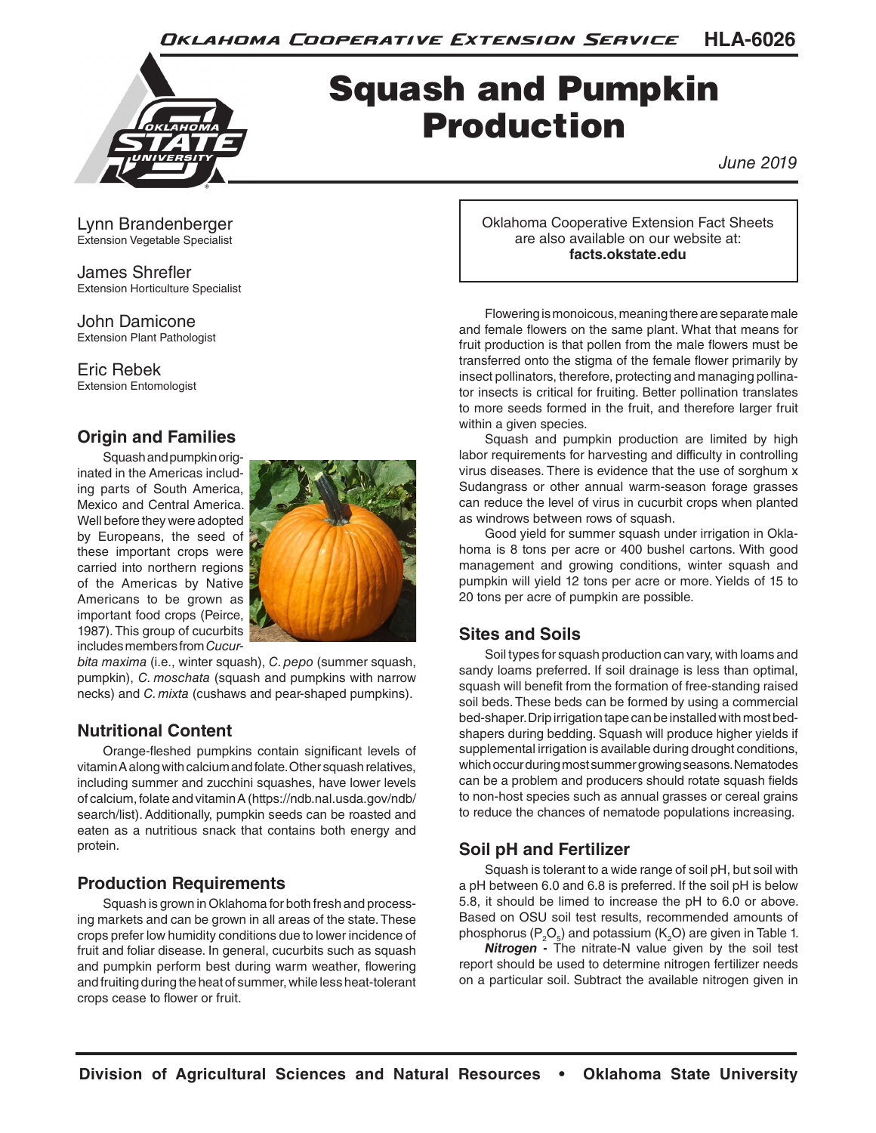**HLA-6026** Oklahoma Cooperative Extension Service



# Squash and Pumpkin Production

*June 2019*

Lynn Brandenberger Extension Vegetable Specialist

James Shrefler Extension Horticulture Specialist

John Damicone Extension Plant Pathologist

Eric Rebek Extension Entomologist

# **Origin and Families**

Squash and pumpkin originated in the Americas including parts of South America, Mexico and Central America. Well before they were adopted by Europeans, the seed of these important crops were carried into northern regions of the Americas by Native Americans to be grown as important food crops (Peirce, 1987). This group of cucurbits includes members from *Cucur-*



*bita maxima* (i.e., winter squash), *C. pepo* (summer squash, pumpkin), *C. moschata* (squash and pumpkins with narrow necks) and *C. mixta* (cushaws and pear-shaped pumpkins).

# **Nutritional Content**

Orange-fleshed pumpkins contain significant levels of vitamin A along with calcium and folate. Other squash relatives, including summer and zucchini squashes, have lower levels of calcium, folate and vitamin A (https://ndb.nal.usda.gov/ndb/ search/list). Additionally, pumpkin seeds can be roasted and eaten as a nutritious snack that contains both energy and protein.

# **Production Requirements**

Squash is grown in Oklahoma for both fresh and processing markets and can be grown in all areas of the state. These crops prefer low humidity conditions due to lower incidence of fruit and foliar disease. In general, cucurbits such as squash and pumpkin perform best during warm weather, flowering and fruiting during the heat of summer, while less heat-tolerant crops cease to flower or fruit.

Oklahoma Cooperative Extension Fact Sheets are also available on our website at: **facts.okstate.edu**

Flowering is monoicous, meaning there are separate male and female flowers on the same plant. What that means for fruit production is that pollen from the male flowers must be transferred onto the stigma of the female flower primarily by insect pollinators, therefore, protecting and managing pollinator insects is critical for fruiting. Better pollination translates to more seeds formed in the fruit, and therefore larger fruit within a given species.

Squash and pumpkin production are limited by high labor requirements for harvesting and difficulty in controlling virus diseases. There is evidence that the use of sorghum x Sudangrass or other annual warm-season forage grasses can reduce the level of virus in cucurbit crops when planted as windrows between rows of squash.

Good yield for summer squash under irrigation in Oklahoma is 8 tons per acre or 400 bushel cartons. With good management and growing conditions, winter squash and pumpkin will yield 12 tons per acre or more. Yields of 15 to 20 tons per acre of pumpkin are possible.

# **Sites and Soils**

Soil types for squash production can vary, with loams and sandy loams preferred. If soil drainage is less than optimal, squash will benefit from the formation of free-standing raised soil beds. These beds can be formed by using a commercial bed-shaper. Drip irrigation tape can be installed with most bedshapers during bedding. Squash will produce higher yields if supplemental irrigation is available during drought conditions, which occur during most summer growing seasons. Nematodes can be a problem and producers should rotate squash fields to non-host species such as annual grasses or cereal grains to reduce the chances of nematode populations increasing.

# **Soil pH and Fertilizer**

Squash is tolerant to a wide range of soil pH, but soil with a pH between 6.0 and 6.8 is preferred. If the soil pH is below 5.8, it should be limed to increase the pH to 6.0 or above. Based on OSU soil test results, recommended amounts of phosphorus ( $\mathsf{P}_2\mathsf{O}_5$ ) and potassium (K $_2$ O) are given in Table 1.

*Nitrogen -* The nitrate-N value given by the soil test report should be used to determine nitrogen fertilizer needs on a particular soil. Subtract the available nitrogen given in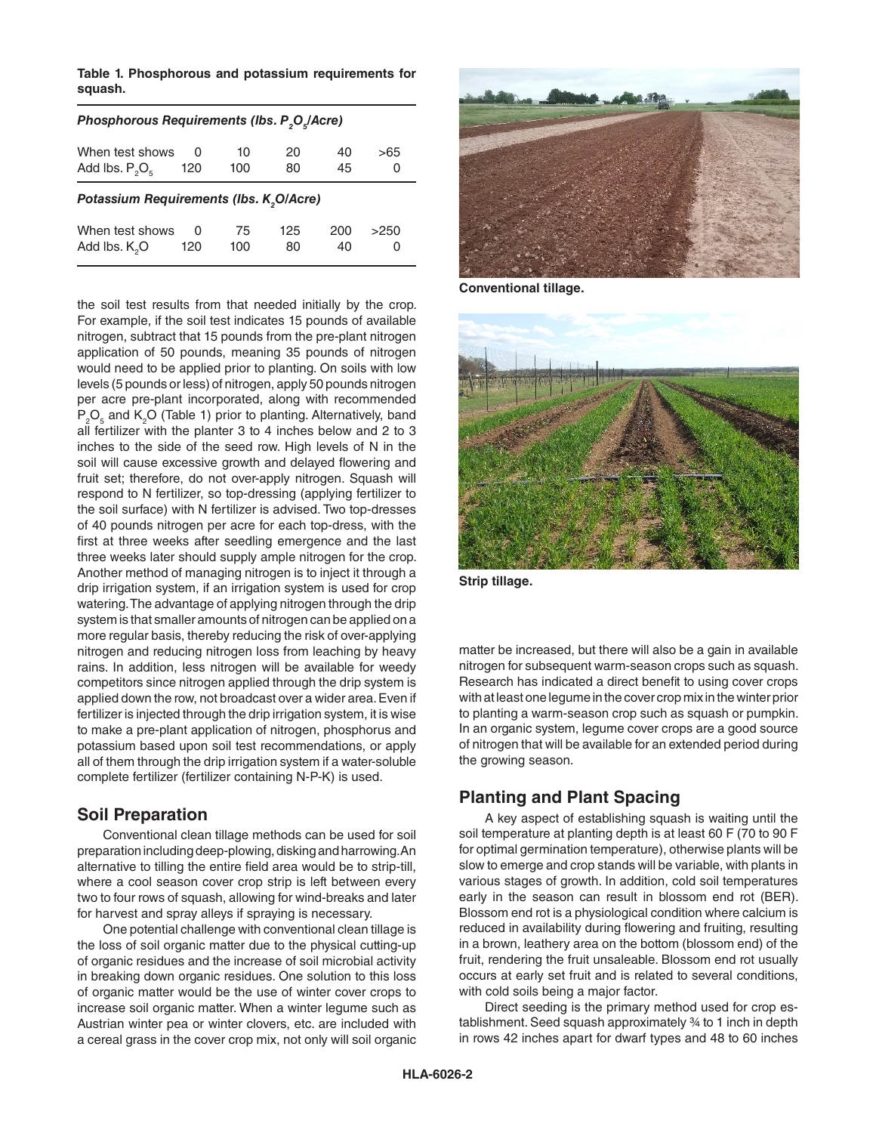**Table 1. Phosphorous and potassium requirements for squash.** 

| Phosphorous Requirements (Ibs. P <sub>2</sub> O <sub>c</sub> /Acre) |     |     |     |     |      |  |  |
|---------------------------------------------------------------------|-----|-----|-----|-----|------|--|--|
| When test shows                                                     | 0   | 10  | 20  | 40  | >65  |  |  |
| Add lbs. $P_2O_5$                                                   | 120 | 100 | 80  | 45  | O    |  |  |
| Potassium Requirements (Ibs. K <sub>2</sub> O/Acre)                 |     |     |     |     |      |  |  |
| When test shows                                                     | 0   | 75  | 125 | 200 | >250 |  |  |
| Add lbs. K <sub>2</sub> O                                           | 120 | 100 | 80  | 40  | O    |  |  |

the soil test results from that needed initially by the crop. For example, if the soil test indicates 15 pounds of available nitrogen, subtract that 15 pounds from the pre-plant nitrogen application of 50 pounds, meaning 35 pounds of nitrogen would need to be applied prior to planting. On soils with low levels (5 pounds or less) of nitrogen, apply 50 pounds nitrogen per acre pre-plant incorporated, along with recommended  $P_2O_5$  and  $K_2O$  (Table 1) prior to planting. Alternatively, band all fertilizer with the planter 3 to 4 inches below and 2 to 3 inches to the side of the seed row. High levels of N in the soil will cause excessive growth and delayed flowering and fruit set; therefore, do not over-apply nitrogen. Squash will respond to N fertilizer, so top-dressing (applying fertilizer to the soil surface) with N fertilizer is advised. Two top-dresses of 40 pounds nitrogen per acre for each top-dress, with the first at three weeks after seedling emergence and the last three weeks later should supply ample nitrogen for the crop. Another method of managing nitrogen is to inject it through a drip irrigation system, if an irrigation system is used for crop watering. The advantage of applying nitrogen through the drip system is that smaller amounts of nitrogen can be applied on a more regular basis, thereby reducing the risk of over-applying nitrogen and reducing nitrogen loss from leaching by heavy rains. In addition, less nitrogen will be available for weedy competitors since nitrogen applied through the drip system is applied down the row, not broadcast over a wider area. Even if fertilizer is injected through the drip irrigation system, it is wise to make a pre-plant application of nitrogen, phosphorus and potassium based upon soil test recommendations, or apply all of them through the drip irrigation system if a water-soluble complete fertilizer (fertilizer containing N-P-K) is used.

## **Soil Preparation**

Conventional clean tillage methods can be used for soil preparation including deep-plowing, disking and harrowing. An alternative to tilling the entire field area would be to strip-till, where a cool season cover crop strip is left between every two to four rows of squash, allowing for wind-breaks and later for harvest and spray alleys if spraying is necessary.

One potential challenge with conventional clean tillage is the loss of soil organic matter due to the physical cutting-up of organic residues and the increase of soil microbial activity in breaking down organic residues. One solution to this loss of organic matter would be the use of winter cover crops to increase soil organic matter. When a winter legume such as Austrian winter pea or winter clovers, etc. are included with a cereal grass in the cover crop mix, not only will soil organic



**Conventional tillage.**



**Strip tillage.**

matter be increased, but there will also be a gain in available nitrogen for subsequent warm-season crops such as squash. Research has indicated a direct benefit to using cover crops with at least one legume in the cover crop mix in the winter prior to planting a warm-season crop such as squash or pumpkin. In an organic system, legume cover crops are a good source of nitrogen that will be available for an extended period during the growing season.

## **Planting and Plant Spacing**

A key aspect of establishing squash is waiting until the soil temperature at planting depth is at least 60 F (70 to 90 F for optimal germination temperature), otherwise plants will be slow to emerge and crop stands will be variable, with plants in various stages of growth. In addition, cold soil temperatures early in the season can result in blossom end rot (BER). Blossom end rot is a physiological condition where calcium is reduced in availability during flowering and fruiting, resulting in a brown, leathery area on the bottom (blossom end) of the fruit, rendering the fruit unsaleable. Blossom end rot usually occurs at early set fruit and is related to several conditions, with cold soils being a major factor.

Direct seeding is the primary method used for crop establishment. Seed squash approximately ¾ to 1 inch in depth in rows 42 inches apart for dwarf types and 48 to 60 inches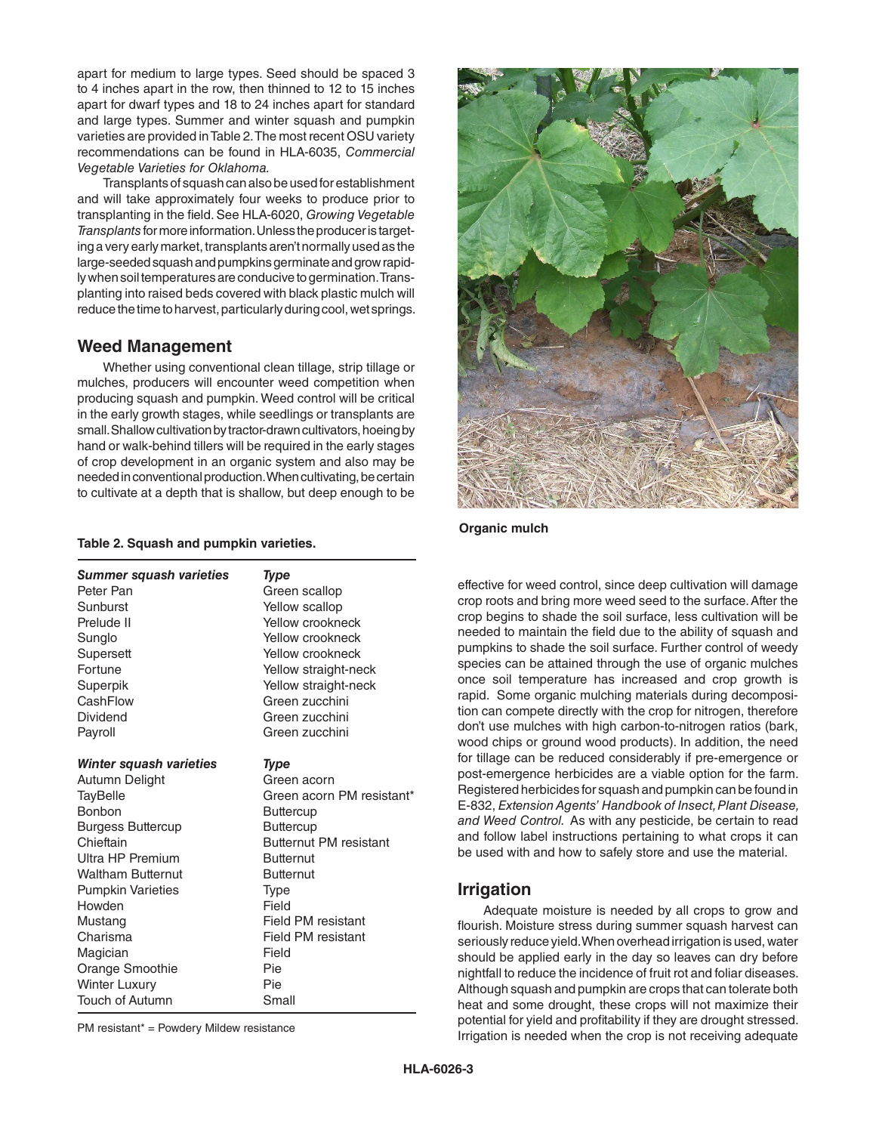apart for medium to large types. Seed should be spaced 3 to 4 inches apart in the row, then thinned to 12 to 15 inches apart for dwarf types and 18 to 24 inches apart for standard and large types. Summer and winter squash and pumpkin varieties are provided in Table 2. The most recent OSU variety recommendations can be found in HLA-6035, *Commercial Vegetable Varieties for Oklahoma.*

Transplants of squash can also be used for establishment and will take approximately four weeks to produce prior to transplanting in the field. See HLA-6020, *Growing Vegetable Transplants* for more information. Unless the producer is targeting a very early market, transplants aren't normally used as the large-seeded squash and pumpkins germinate and grow rapidly when soil temperatures are conducive to germination. Transplanting into raised beds covered with black plastic mulch will reduce the time to harvest, particularly during cool, wet springs.

## **Weed Management**

Whether using conventional clean tillage, strip tillage or mulches, producers will encounter weed competition when producing squash and pumpkin. Weed control will be critical in the early growth stages, while seedlings or transplants are small. Shallow cultivation by tractor-drawn cultivators, hoeing by hand or walk-behind tillers will be required in the early stages of crop development in an organic system and also may be needed in conventional production. When cultivating, be certain to cultivate at a depth that is shallow, but deep enough to be

#### **Table 2. Squash and pumpkin varieties.**

| <b>Summer squash varieties</b> | <b>Type</b>                   |
|--------------------------------|-------------------------------|
| Peter Pan                      | Green scallop                 |
| Sunburst                       | Yellow scallop                |
| Prelude II                     | Yellow crookneck              |
| Sunglo                         | Yellow crookneck              |
| Supersett                      | Yellow crookneck              |
| Fortune                        | Yellow straight-neck          |
| Superpik                       | Yellow straight-neck          |
| CashFlow                       | Green zucchini                |
| Dividend                       | Green zucchini                |
| Payroll                        | Green zucchini                |
| Winter squash varieties        | <b>Type</b>                   |
| Autumn Delight                 | Green acorn                   |
| <b>TayBelle</b>                | Green acorn PM resistant*     |
| <b>Bonbon</b>                  | <b>Buttercup</b>              |
| <b>Burgess Buttercup</b>       | <b>Buttercup</b>              |
| Chieftain                      | <b>Butternut PM resistant</b> |
| Ultra HP Premium               | <b>Butternut</b>              |
| <b>Waltham Butternut</b>       | <b>Butternut</b>              |
| <b>Pumpkin Varieties</b>       | <b>Type</b>                   |
| Howden                         | Field                         |
| Mustang                        | Field PM resistant            |
| Charisma                       | Field PM resistant            |
| Magician                       | Field                         |
| Orange Smoothie                | Pie                           |
| <b>Winter Luxury</b>           | Pie                           |
| <b>Touch of Autumn</b>         | Small                         |

PM resistant\* = Powdery Mildew resistance



#### **Organic mulch**

effective for weed control, since deep cultivation will damage crop roots and bring more weed seed to the surface. After the crop begins to shade the soil surface, less cultivation will be needed to maintain the field due to the ability of squash and pumpkins to shade the soil surface. Further control of weedy species can be attained through the use of organic mulches once soil temperature has increased and crop growth is rapid. Some organic mulching materials during decomposition can compete directly with the crop for nitrogen, therefore don't use mulches with high carbon-to-nitrogen ratios (bark, wood chips or ground wood products). In addition, the need for tillage can be reduced considerably if pre-emergence or post-emergence herbicides are a viable option for the farm. Registered herbicides for squash and pumpkin can be found in E-832, *Extension Agents' Handbook of Insect, Plant Disease, and Weed Control.* As with any pesticide, be certain to read and follow label instructions pertaining to what crops it can be used with and how to safely store and use the material.

## **Irrigation**

Adequate moisture is needed by all crops to grow and flourish. Moisture stress during summer squash harvest can seriously reduce yield. When overhead irrigation is used, water should be applied early in the day so leaves can dry before nightfall to reduce the incidence of fruit rot and foliar diseases. Although squash and pumpkin are crops that can tolerate both heat and some drought, these crops will not maximize their potential for yield and profitability if they are drought stressed. Irrigation is needed when the crop is not receiving adequate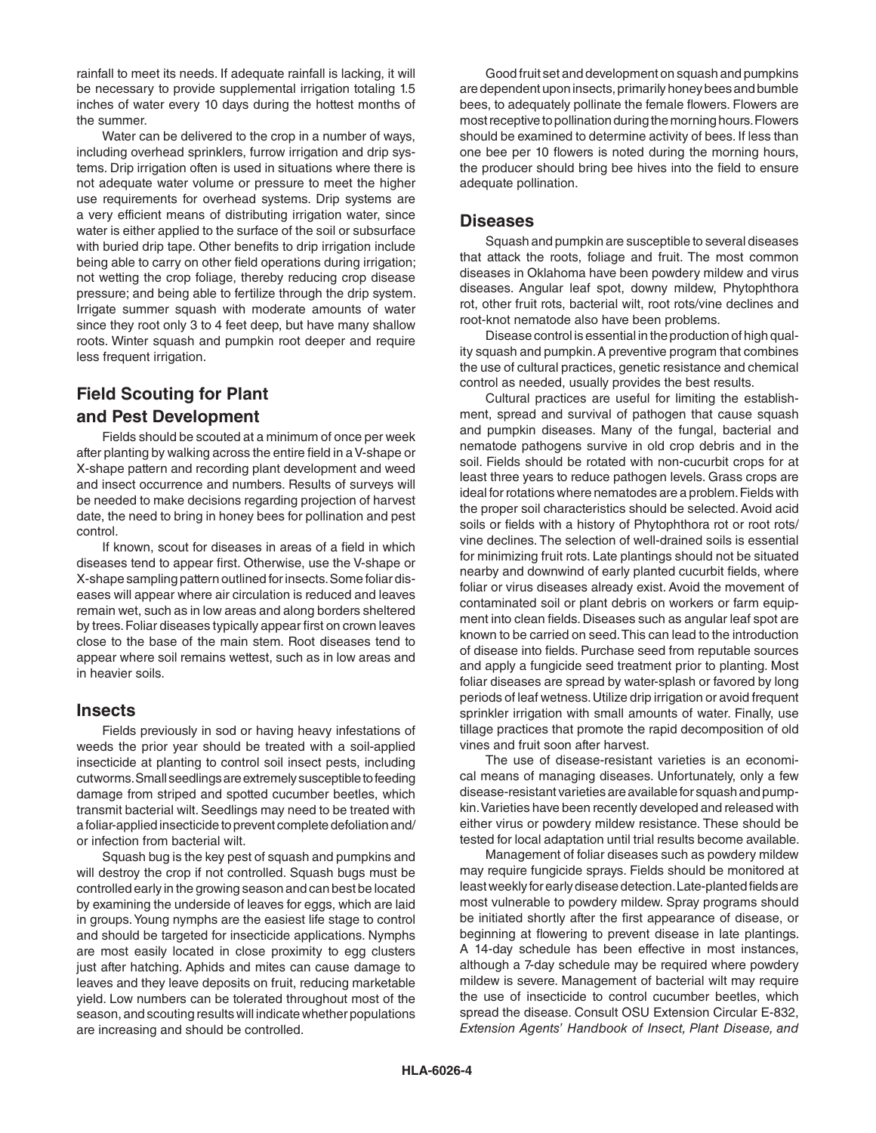rainfall to meet its needs. If adequate rainfall is lacking, it will be necessary to provide supplemental irrigation totaling 1.5 inches of water every 10 days during the hottest months of the summer.

Water can be delivered to the crop in a number of ways, including overhead sprinklers, furrow irrigation and drip systems. Drip irrigation often is used in situations where there is not adequate water volume or pressure to meet the higher use requirements for overhead systems. Drip systems are a very efficient means of distributing irrigation water, since water is either applied to the surface of the soil or subsurface with buried drip tape. Other benefits to drip irrigation include being able to carry on other field operations during irrigation; not wetting the crop foliage, thereby reducing crop disease pressure; and being able to fertilize through the drip system. Irrigate summer squash with moderate amounts of water since they root only 3 to 4 feet deep, but have many shallow roots. Winter squash and pumpkin root deeper and require less frequent irrigation.

# **Field Scouting for Plant and Pest Development**

Fields should be scouted at a minimum of once per week after planting by walking across the entire field in a V-shape or X-shape pattern and recording plant development and weed and insect occurrence and numbers. Results of surveys will be needed to make decisions regarding projection of harvest date, the need to bring in honey bees for pollination and pest control.

If known, scout for diseases in areas of a field in which diseases tend to appear first. Otherwise, use the V-shape or X-shape sampling pattern outlined for insects. Some foliar diseases will appear where air circulation is reduced and leaves remain wet, such as in low areas and along borders sheltered by trees. Foliar diseases typically appear first on crown leaves close to the base of the main stem. Root diseases tend to appear where soil remains wettest, such as in low areas and in heavier soils.

### **Insects**

Fields previously in sod or having heavy infestations of weeds the prior year should be treated with a soil-applied insecticide at planting to control soil insect pests, including cutworms. Small seedlings are extremely susceptible to feeding damage from striped and spotted cucumber beetles, which transmit bacterial wilt. Seedlings may need to be treated with a foliar-applied insecticide to prevent complete defoliation and/ or infection from bacterial wilt.

Squash bug is the key pest of squash and pumpkins and will destroy the crop if not controlled. Squash bugs must be controlled early in the growing season and can best be located by examining the underside of leaves for eggs, which are laid in groups. Young nymphs are the easiest life stage to control and should be targeted for insecticide applications. Nymphs are most easily located in close proximity to egg clusters just after hatching. Aphids and mites can cause damage to leaves and they leave deposits on fruit, reducing marketable yield. Low numbers can be tolerated throughout most of the season, and scouting results will indicate whether populations are increasing and should be controlled.

Good fruit set and development on squash and pumpkins are dependent upon insects, primarily honey bees and bumble bees, to adequately pollinate the female flowers. Flowers are most receptive to pollination during the morning hours. Flowers should be examined to determine activity of bees. If less than one bee per 10 flowers is noted during the morning hours, the producer should bring bee hives into the field to ensure adequate pollination.

## **Diseases**

Squash and pumpkin are susceptible to several diseases that attack the roots, foliage and fruit. The most common diseases in Oklahoma have been powdery mildew and virus diseases. Angular leaf spot, downy mildew, Phytophthora rot, other fruit rots, bacterial wilt, root rots/vine declines and root-knot nematode also have been problems.

Disease control is essential in the production of high quality squash and pumpkin. A preventive program that combines the use of cultural practices, genetic resistance and chemical control as needed, usually provides the best results.

Cultural practices are useful for limiting the establishment, spread and survival of pathogen that cause squash and pumpkin diseases. Many of the fungal, bacterial and nematode pathogens survive in old crop debris and in the soil. Fields should be rotated with non-cucurbit crops for at least three years to reduce pathogen levels. Grass crops are ideal for rotations where nematodes are a problem. Fields with the proper soil characteristics should be selected. Avoid acid soils or fields with a history of Phytophthora rot or root rots/ vine declines. The selection of well-drained soils is essential for minimizing fruit rots. Late plantings should not be situated nearby and downwind of early planted cucurbit fields, where foliar or virus diseases already exist. Avoid the movement of contaminated soil or plant debris on workers or farm equipment into clean fields. Diseases such as angular leaf spot are known to be carried on seed. This can lead to the introduction of disease into fields. Purchase seed from reputable sources and apply a fungicide seed treatment prior to planting. Most foliar diseases are spread by water-splash or favored by long periods of leaf wetness. Utilize drip irrigation or avoid frequent sprinkler irrigation with small amounts of water. Finally, use tillage practices that promote the rapid decomposition of old vines and fruit soon after harvest.

The use of disease-resistant varieties is an economical means of managing diseases. Unfortunately, only a few disease-resistant varieties are available for squash and pumpkin. Varieties have been recently developed and released with either virus or powdery mildew resistance. These should be tested for local adaptation until trial results become available.

Management of foliar diseases such as powdery mildew may require fungicide sprays. Fields should be monitored at least weekly for early disease detection. Late-planted fields are most vulnerable to powdery mildew. Spray programs should be initiated shortly after the first appearance of disease, or beginning at flowering to prevent disease in late plantings. A 14-day schedule has been effective in most instances, although a 7-day schedule may be required where powdery mildew is severe. Management of bacterial wilt may require the use of insecticide to control cucumber beetles, which spread the disease. Consult OSU Extension Circular E-832, *Extension Agents' Handbook of Insect, Plant Disease, and*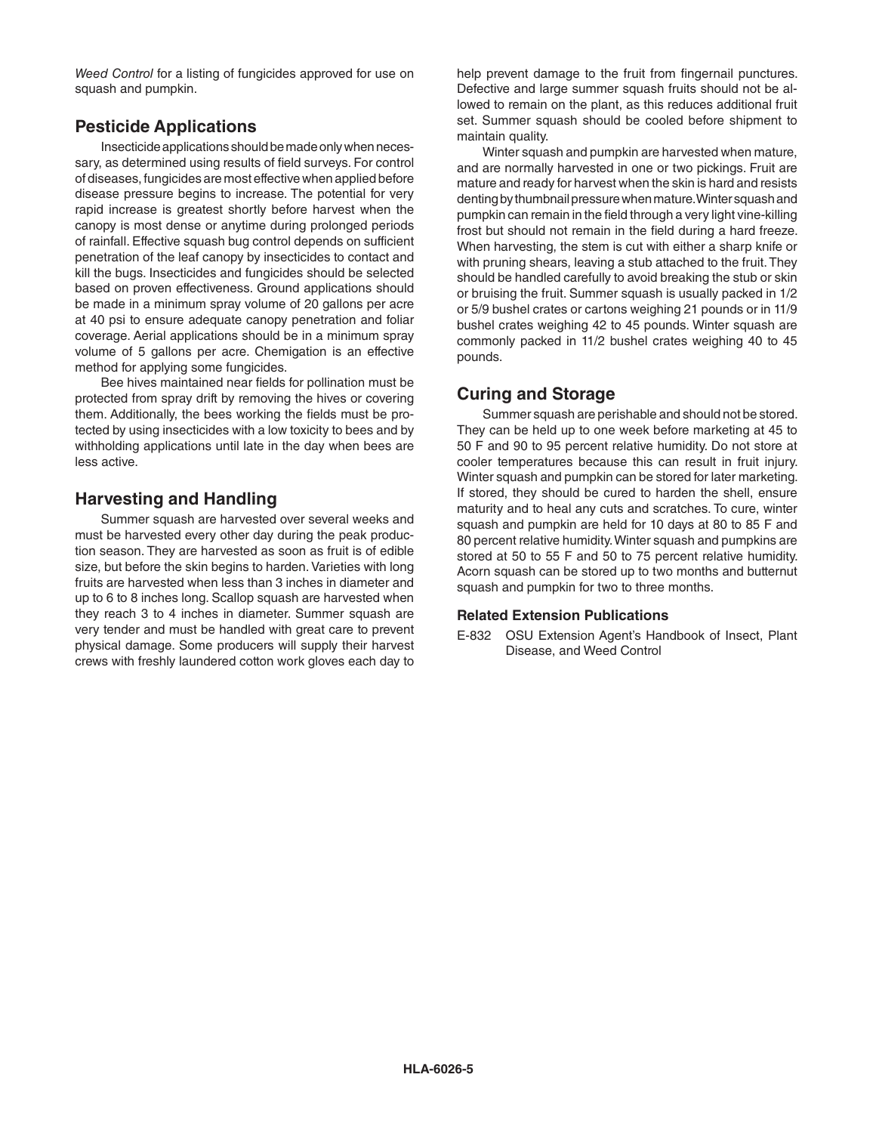*Weed Control* for a listing of fungicides approved for use on squash and pumpkin.

## **Pesticide Applications**

Insecticide applications should be made only when necessary, as determined using results of field surveys. For control of diseases, fungicides are most effective when applied before disease pressure begins to increase. The potential for very rapid increase is greatest shortly before harvest when the canopy is most dense or anytime during prolonged periods of rainfall. Effective squash bug control depends on sufficient penetration of the leaf canopy by insecticides to contact and kill the bugs. Insecticides and fungicides should be selected based on proven effectiveness. Ground applications should be made in a minimum spray volume of 20 gallons per acre at 40 psi to ensure adequate canopy penetration and foliar coverage. Aerial applications should be in a minimum spray volume of 5 gallons per acre. Chemigation is an effective method for applying some fungicides.

Bee hives maintained near fields for pollination must be protected from spray drift by removing the hives or covering them. Additionally, the bees working the fields must be protected by using insecticides with a low toxicity to bees and by withholding applications until late in the day when bees are less active.

## **Harvesting and Handling**

Summer squash are harvested over several weeks and must be harvested every other day during the peak production season. They are harvested as soon as fruit is of edible size, but before the skin begins to harden. Varieties with long fruits are harvested when less than 3 inches in diameter and up to 6 to 8 inches long. Scallop squash are harvested when they reach 3 to 4 inches in diameter. Summer squash are very tender and must be handled with great care to prevent physical damage. Some producers will supply their harvest crews with freshly laundered cotton work gloves each day to

help prevent damage to the fruit from fingernail punctures. Defective and large summer squash fruits should not be allowed to remain on the plant, as this reduces additional fruit set. Summer squash should be cooled before shipment to maintain quality.

Winter squash and pumpkin are harvested when mature, and are normally harvested in one or two pickings. Fruit are mature and ready for harvest when the skin is hard and resists denting by thumbnail pressure when mature. Winter squash and pumpkin can remain in the field through a very light vine-killing frost but should not remain in the field during a hard freeze. When harvesting, the stem is cut with either a sharp knife or with pruning shears, leaving a stub attached to the fruit. They should be handled carefully to avoid breaking the stub or skin or bruising the fruit. Summer squash is usually packed in 1/2 or 5/9 bushel crates or cartons weighing 21 pounds or in 11/9 bushel crates weighing 42 to 45 pounds. Winter squash are commonly packed in 11/2 bushel crates weighing 40 to 45 pounds.

# **Curing and Storage**

Summer squash are perishable and should not be stored. They can be held up to one week before marketing at 45 to 50 F and 90 to 95 percent relative humidity. Do not store at cooler temperatures because this can result in fruit injury. Winter squash and pumpkin can be stored for later marketing. If stored, they should be cured to harden the shell, ensure maturity and to heal any cuts and scratches. To cure, winter squash and pumpkin are held for 10 days at 80 to 85 F and 80 percent relative humidity. Winter squash and pumpkins are stored at 50 to 55 F and 50 to 75 percent relative humidity. Acorn squash can be stored up to two months and butternut squash and pumpkin for two to three months.

### **Related Extension Publications**

E-832 OSU Extension Agent's Handbook of Insect, Plant Disease, and Weed Control